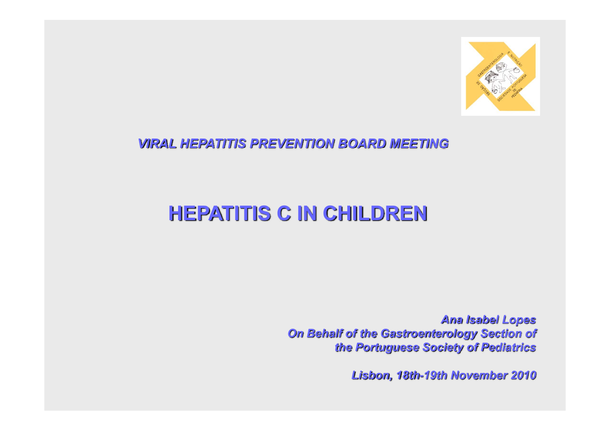

#### *VIRAL HEPATITIS PREVENTION BOARD MEETING*

# **HEPATITIS C IN CHILDREN**

*Ana Isabel Lopes On Behalf of the Gastroenterology Section of the Portuguese Society of Pediatrics*

*Lisbon, 18th-19th November 2010*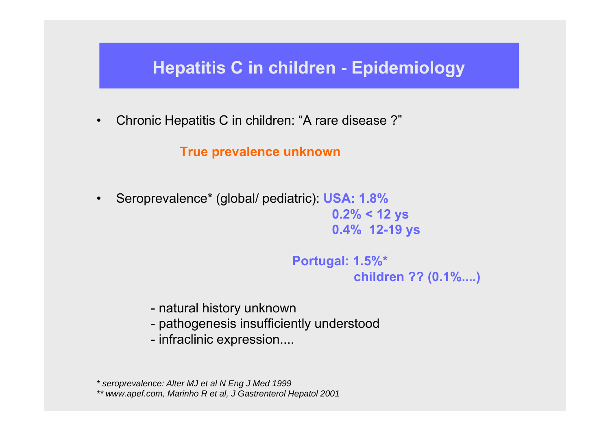•Chronic Hepatitis C in children: "A rare disease ?"

**True prevalence unknown**

• Seroprevalence\* (global/ pediatric): **USA: 1.8% 0.2% < 12 ys 0.4% 12-19 ys** 

> **Portugal: 1.5%\* children ?? (0.1%....)**

- natural history unknown
- pathogenesis insufficiently understood
- infraclinic expression....

*\* seroprevalence: Alter MJ et al N Eng J Med 1999 \*\* www.apef.com, Marinho R et al, J Gastrenterol Hepatol 2001*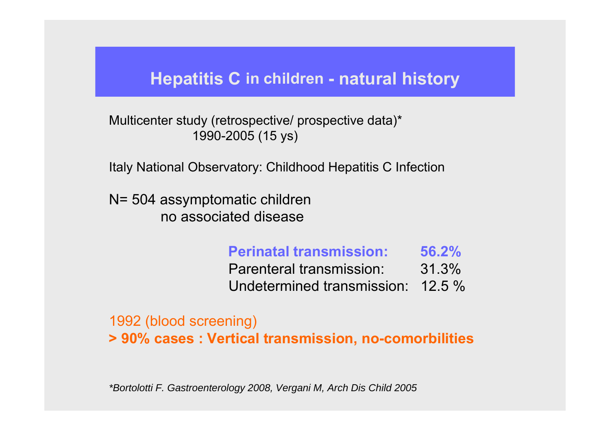## **Hepatitis C in children - natural history**

Multicenter study (retrospective/ prospective data)\* 1990-2005 (15 ys)

Italy National Observatory: Childhood Hepatitis C Infection

N= 504 assymptomatic children no associated disease

#### **Perinatal transmission: 56.2%**Parenteral transmission: 31.3% Undetermined transmission: 12.5 %

1992 (blood screening) **> 90% cases : Vertical transmission, no-comorbilities**

*\*Bortolotti F. Gastroenterology 2008, Vergani M, Arch Dis Child 2005*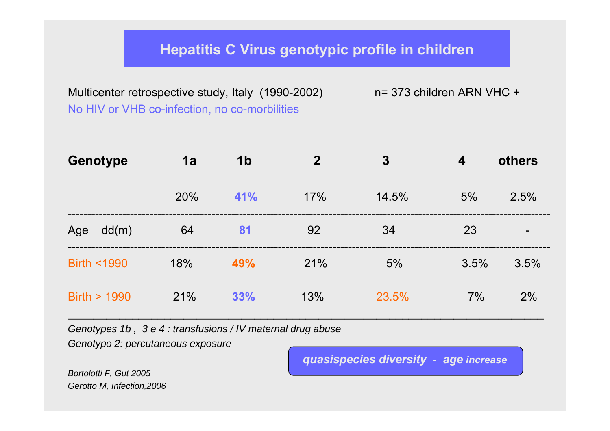#### **Hepatitis C Virus genotypic profile in children**

Multicenter retrospective study, Italy (1990-2002) n= 373 children ARN VHC + No HIV or VHB co-infection, no co-morbilities

| <b>Genotype</b>       | 1a  | 1 <sub>b</sub> | $\overline{2}$ | $\boldsymbol{3}$ | $\boldsymbol{4}$ | others |
|-----------------------|-----|----------------|----------------|------------------|------------------|--------|
|                       | 20% | 41%            | 17%            | 14.5%            | 5%               | 2.5%   |
| Age<br>dd(m)          | 64  | 81             | 92             | 34               | 23               | -      |
| <b>Birth &lt;1990</b> | 18% | 49%            | 21%            | 5%               | 3.5%             | 3.5%   |
| Birth $> 1990$        | 21% | 33%            | 13%            | 23.5%            | 7%               | 2%     |

\_\_\_\_\_\_\_\_\_\_\_\_\_\_\_\_\_\_\_\_\_\_\_\_\_\_\_\_\_\_\_\_\_\_\_\_\_\_\_\_\_\_\_\_\_\_\_\_\_\_\_\_\_\_\_\_\_\_\_\_\_\_\_\_\_\_\_\_\_\_\_\_\_\_

*Genotypes 1b , 3 e 4 : transfusions / IV maternal drug abuse* 

*Genotypo 2: percutaneous exposure* 

*quasispecies diversity - age increase*

*Bortolotti F, Gut 2005 Gerotto M, Infection,2006*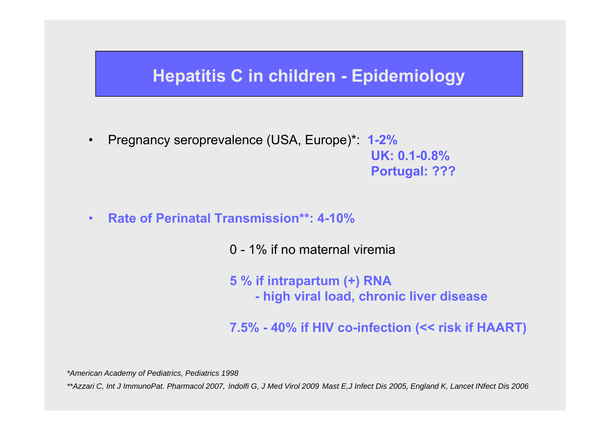- $\bullet$  Pregnancy seroprevalence (USA, Europe)\*: **1-2% UK: 0.1-0.8%Portugal: ???**
- $\bullet$ **Rate of Perinatal Transmission\*\*: 4-10%**

0 - 1% if no maternal viremia

**5 % if intrapartum (+) RNA - high viral load, chronic liver disease** 

**7.5% - 40% if HIV co-infection (<< risk if HAART)**

*\*American Academy of Pediatrics, Pediatrics 1998*

*\*\*Azzari C, Int J ImmunoPat. Pharmacol 2007, Indolfi G, J Med Virol 2009 Mast E,J Infect Dis 2005, England K, Lancet INfect Dis 2006*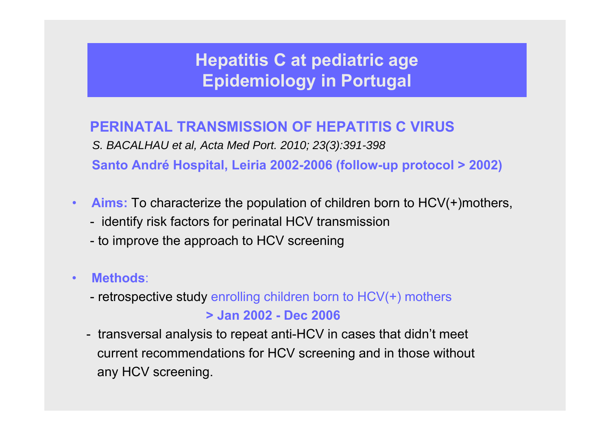### **PERINATAL TRANSMISSION OF HEPATITIS C VIRUS**

*S. BACALHAU et al, Acta Med Port. 2010; 23(3):391-398* **Santo André Hospital, Leiria 2002-2006 (follow-up protocol > 2002)**

- • **Aims:** To characterize the population of children born to HCV(+)mothers,
	- identify risk factors for perinatal HCV transmission
	- to improve the approach to HCV screening
- $\bullet$  **Methods**:
	- retrospective study enrolling children born to HCV(+) mothers

#### **> Jan 2002 - Dec 2006**

- transversal analysis to repeat anti-HCV in cases that didn't meet current recommendations for HCV screening and in those without any HCV screening.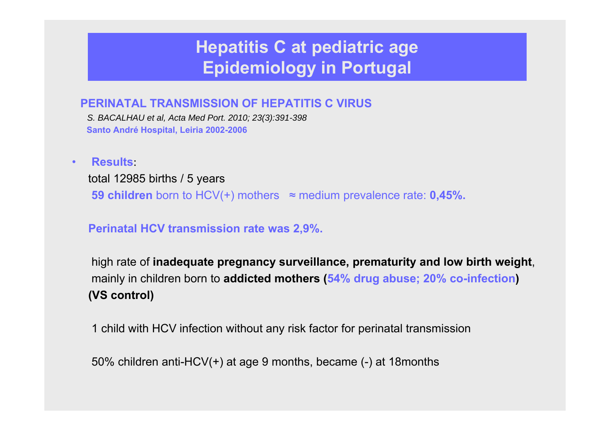#### **PERINATAL TRANSMISSION OF HEPATITIS C VIRUS**

*S. BACALHAU et al, Acta Med Port. 2010; 23(3):391-398* **Santo André Hospital, Leiria 2002-2006**

•**Results**:

> total 12985 births / 5 years **59 children** born to HCV(+) mothers <sup>≈</sup> medium prevalence rate: **0,45%.**

**Perinatal HCV transmission rate was 2,9%.** 

high rate of **inadequate pregnancy surveillance, prematurity and low birth weight**, mainly in children born to **addicted mothers (54% drug abuse; 20% co-infection) (VS control)**

1 child with HCV infection without any risk factor for perinatal transmission

50% children anti-HCV(+) at age 9 months, became (-) at 18months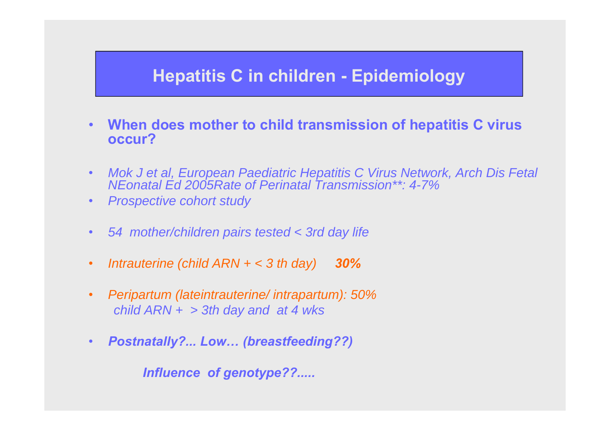- • **When does mother to child transmission of hepatitis C virus occur?**
- $\bullet$  *Mok J et al, European Paediatric Hepatitis C Virus Network, Arch Dis Fetal NEonatal Ed 2005Rate of Perinatal Transmission\*\*: 4-7%*
- •*Prospective cohort study*
- •*54 mother/children pairs tested < 3rd day life*
- •*Intrauterine (child ARN + < 3 th day) 30%*
- $\bullet$  *Peripartum (lateintrauterine/ intrapartum): 50% child ARN + > 3th day and at 4 wks*
- •*Postnatally?... Low… (breastfeeding??)*

*Influence of genotype??.....*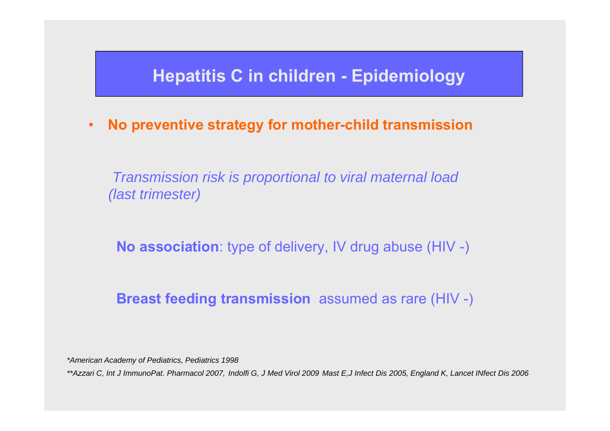•**No preventive strategy for mother-child transmission**

*Transmission risk is proportional to viral maternal load (last trimester)* 

**No association**: type of delivery, IV drug abuse (HIV -)

#### **Breast feeding transmission** assumed as rare (HIV -)

*\*American Academy of Pediatrics, Pediatrics 1998*

*\*\*Azzari C, Int J ImmunoPat. Pharmacol 2007, Indolfi G, J Med Virol 2009 Mast E,J Infect Dis 2005, England K, Lancet INfect Dis 2006*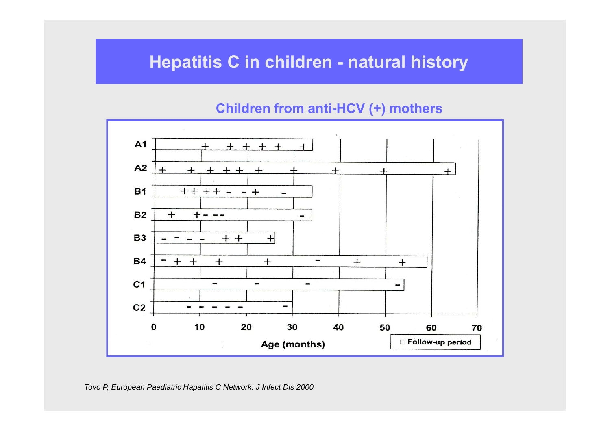# **Hepatitis C in children - natural history**

#### **Children from anti-HCV (+) mothers**

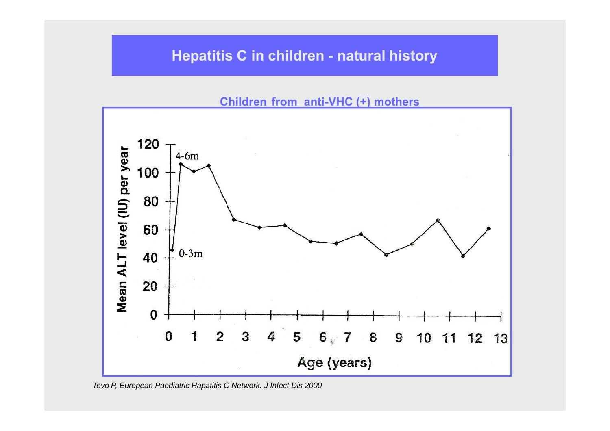#### **Hepatitis C in children - natural history**

**Children from anti-VHC (+) mothers**



*Tovo P, European Paediatric Hapatitis C Network. J Infect Dis 2000*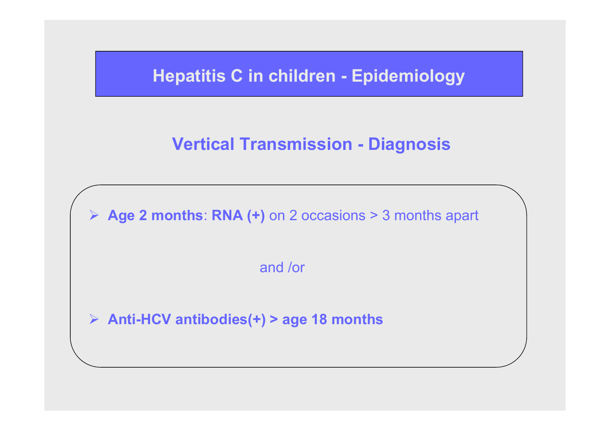# **Vertical Transmission - Diagnosis**

¾ **Age 2 months**: **RNA (+)** on 2 occasions > 3 months apart

and /or

¾ **Anti-HCV antibodies(+) > age 18 months**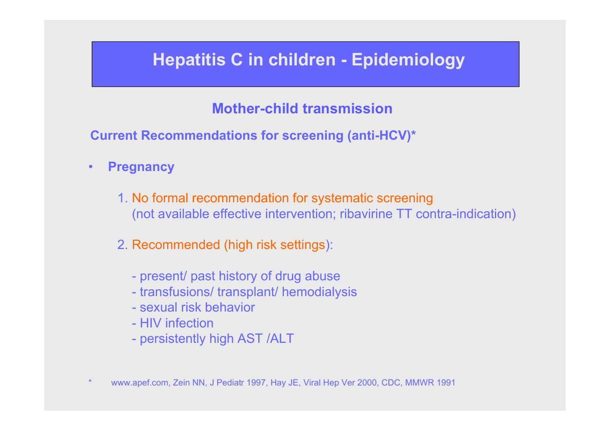### **Mother-child transmission**

**Current Recommendations for screening (anti-HCV)\***

- $\bullet$  **Pregnancy**
	- 1. No formal recommendation for systematic screening (not available effective intervention; ribavirine TT contra-indication)
	- 2. Recommended (high risk settings):
		- present/ past history of drug abuse
		- transfusions/ transplant/ hemodialysis
		- sexual risk behavior
		- HIV infection
		- persistently high AST /ALT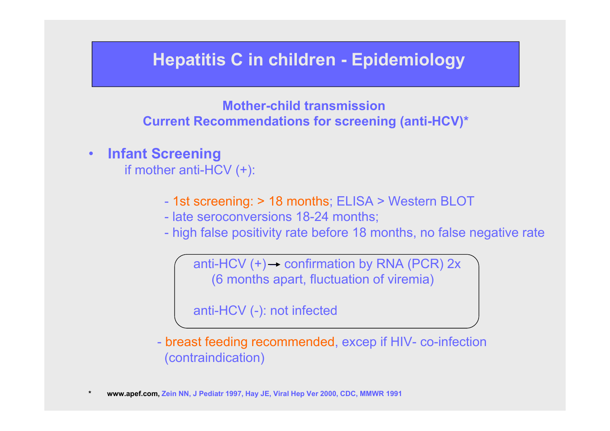**Mother-child transmission Current Recommendations for screening (anti-HCV)\***

 $\bullet$ **Infant Screening**

if mother anti-HCV (+):

- 1st screening: > 18 months; ELISA > Western BLOT
- late seroconversions 18-24 months;
- high false positivity rate before 18 months, no false negative rate

anti-HCV  $(+) \rightarrow$  confirmation by RNA (PCR) 2x (6 months apart, fluctuation of viremia)

anti-HCV (-): not infected

- breast feeding recommended, excep if HIV- co-infection (contraindication)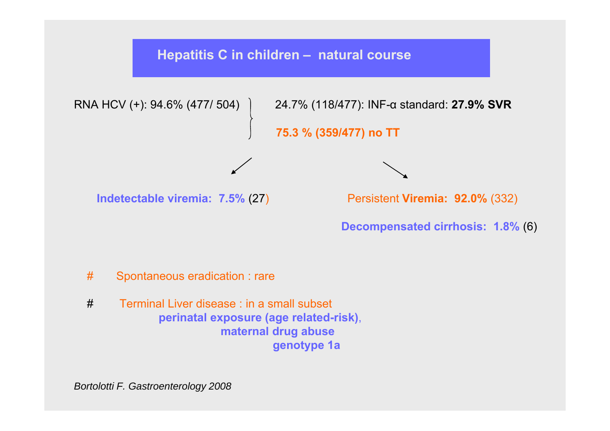#### **Hepatitis C in children – natural course**



α standard: **27.9% SVR**

**75.3 % (359/477) no TT**

**Indetectable viremia: 7.5%**

(27) Persistent **Viremia: 92.0%** (332)

**Decompensated cirrhosis: 1.8%** (6)

- # Spontaneous eradication : rare
- # Terminal Liver disease : in a small subset **perinatal exposure (age related-risk)**, **maternal drug abuse genotype 1a**

*Bortolotti F. Gastroenterology 2008*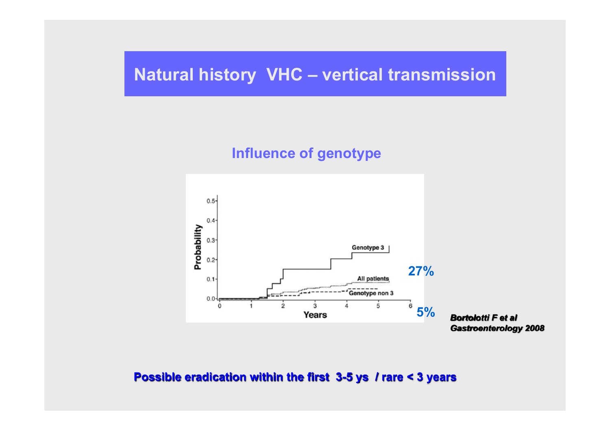## **Natural history VHC – vertical transmission**

#### **Influence of genotype**



*Bortolotti F et alGastroenterology 2008*

**Possible eradication within the first 3-5 ys / rare < 3 years**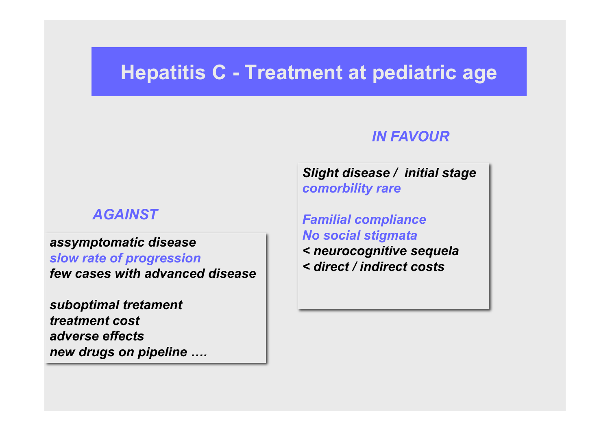# **Hepatitis C - Treatment at pediatric age**

#### *AGAINST*

#### *assymptomatic disease*

*slow rate of progression few cases with advanced disease*

*suboptimal tretament treatment costadverse effectsnew drugs on pipeline ….*

#### *IN FAVOUR*

*Slight disease / initial stage comorbility rare*

*Familial compliance No social stigmata < neurocognitive sequela < direct / indirect costs*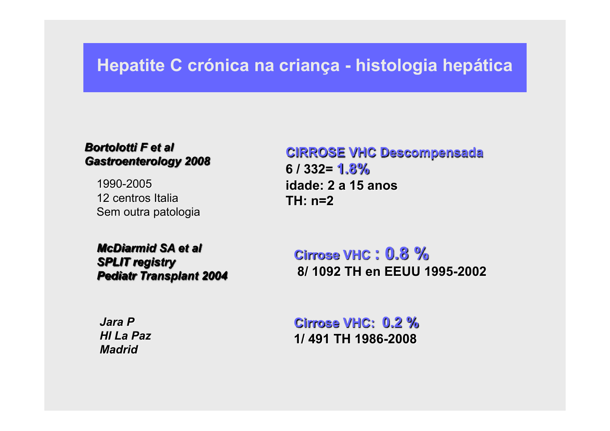# **Hepatite C crónica na criança - histologia hepática**

#### *Bortolotti F et alGastroenterology 2008*

1990-200512 centros ItaliaSem outra patologia

*McDiarmid SA et alSPLIT registry Pediatr Transplant 2004*

**CIRROSE VHC Descompensada 6 / 332= 1.8%idade: 2 a 15 anosTH: n=2**

**Cirrose VHC : 0.8 %8/ 1092 TH en EEUU 1995-2002**

*Jara PHI La PazMadrid*

**Cirrose VHC: 0.2 %1/ 491 TH 1986-2008**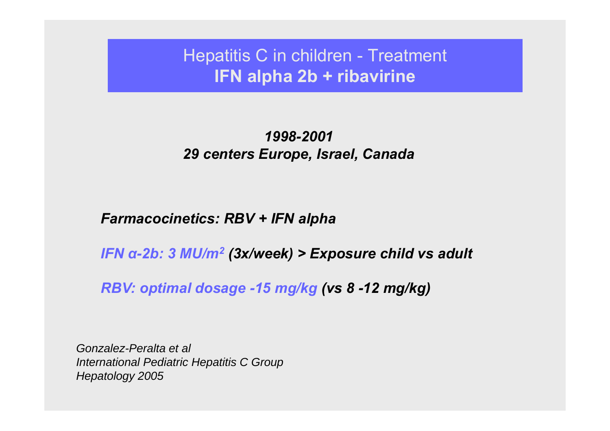Hepatitis C in children - Treatment **IFN alpha 2b + ribavirine**

#### *1998-200129 centers Europe, Israel, Canada*

#### *Farmacocinetics: RBV + IFN alpha*

*IFN α-2b: 3 MU/m 2 (3x/week) > Exposure child vs adult* 

*RBV: optimal dosage -15 mg/kg (vs 8 -12 mg/kg)*

*Gonzalez-Peralta et al International Pediatric Hepatitis C Group Hepatology 2005*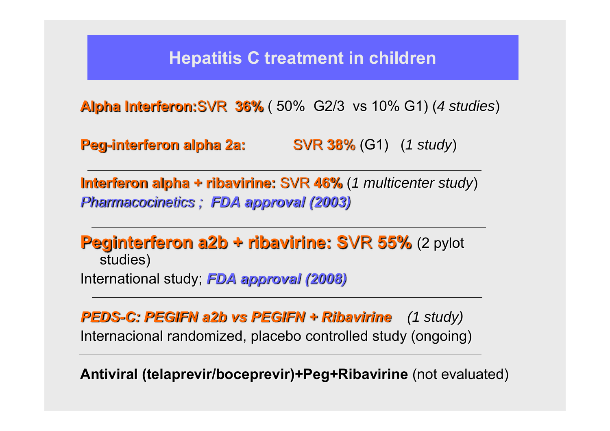# **Hepatitis C treatment in children**

**Alpha Interferon:**SVR **36%** ( 50% G2/3 vs 10% G1) (*4 studies* )

**Peg-interferon alpha 2a:** SVR **388** % (G1) (*1 study*)

**Interferon alpha + ribavirine:** SVR **46%** (*1 multicenter study*) *Pharmacocinetics ; FDA approval (2003)*

**Peginterferon a2b + ribavirine: S**VR **55%** (2 pylot studies) International study; *FDA approval (2008)*

*PEDS-C: PEGIFN a2b vs PEGIFN + Ribavirine (1 study)* Internacional randomized, placebo controlled study (ongoing)

**Antiviral (telaprevir/boceprevir)+Peg+Ribavirine** (not evaluated)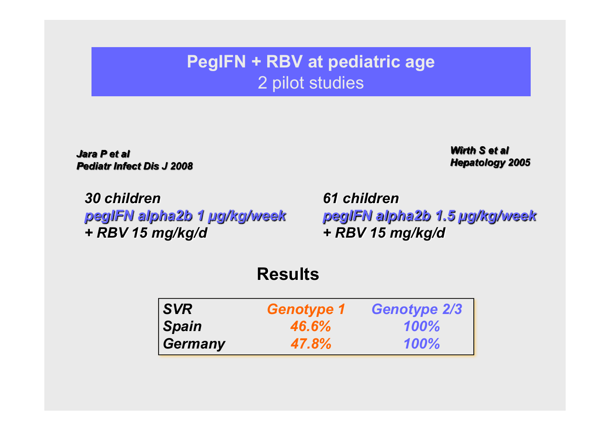# **PegIFN + RBV at pediatric age** 2 pilot studies

*Jara P et alPediatr Infect Dis J 2008*

*Wirth S et alHepatology 2005*

*30 children pegIFN alpha2b 1 µg/kg/week + RBV 15 mg/kg/d*

*61 childrenpegIFN alpha2b 1.5 µg/kg/week + RBV 15 mg/kg/d*

|                | <b>Results</b>    |                     |
|----------------|-------------------|---------------------|
| <b>SVR</b>     | <b>Genotype 1</b> | <b>Genotype 2/3</b> |
| <b>Spain</b>   | 46.6%             | 100%                |
| <b>Germany</b> | 47.8%             | 100%                |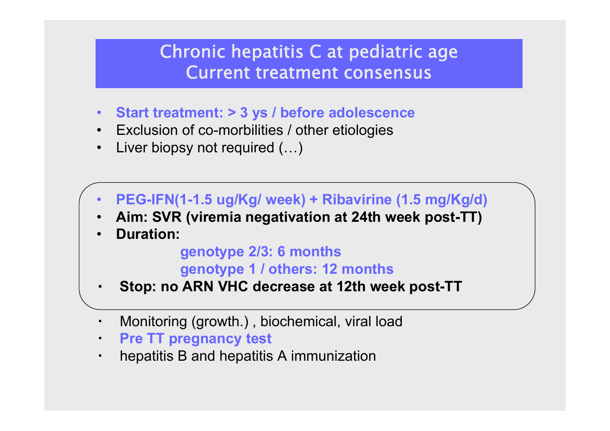# Chronic hepatitis C at pediatric age Current treatment consensus

- $\bullet$ **Start treatment: > 3 ys / before adolescence**
- Exclusion of co-morbilities / other etiologies
- $\bullet$ Liver biopsy not required (…)
- •**PEG-IFN(1-1.5 ug/Kg/ week) + Ribavirine (1.5 mg/Kg/d)**
- •**Aim: SVR (viremia negativation at 24th week post-TT)**
- •**Duration:**

**genotype 2/3: 6 months genotype 1 / others: 12 months**

- **Stop: no ARN VHC decrease at 12th week post-TT**
- ▪Monitoring (growth.) , biochemical, viral load
- $\blacksquare$ **Pre TT pregnancy test**
- $\blacksquare$ hepatitis B and hepatitis A immunization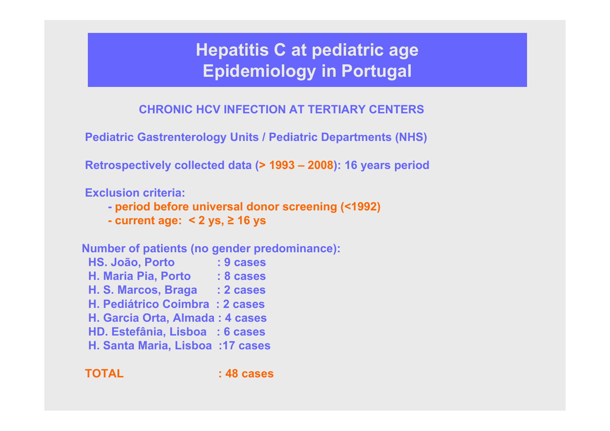**CHRONIC HCV INFECTION AT TERTIARY CENTERS**

**Pediatric Gastrenterology Units / Pediatric Departments (NHS)**

**Retrospectively collected data (> 1993 – 2008): 16 years period**

**Exclusion criteria:**

- **- period before universal donor screening (<1992)**
- **- current age: < 2 ys, ≥ 16 ys**

**Number of patients (no gender predominance):**

- **HS. João, Porto : 9 cases H. Maria Pia, Porto : 8 cases H. S. Marcos, Braga : 2 cases H. Pediátrico Coimbra : 2 casesH. Garcia Orta, Almada : 4 cases HD. Estefânia, Lisboa : 6 cases**
- **H. Santa Maria, Lisboa :17 cases**

**TOTAL : 48 cases**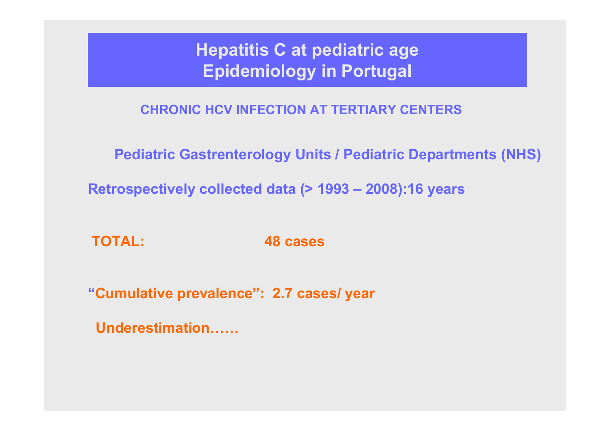**CHRONIC HCV INFECTION AT TERTIARY CENTERS**

**Pediatric Gastrenterology Units / Pediatric Departments (NHS)**

**Retrospectively collected data (> 1993 – 2008):16 years**

**TOTAL: 48 cases** 

**"Cumulative prevalence": 2.7 cases/ year** 

**Underestimation……**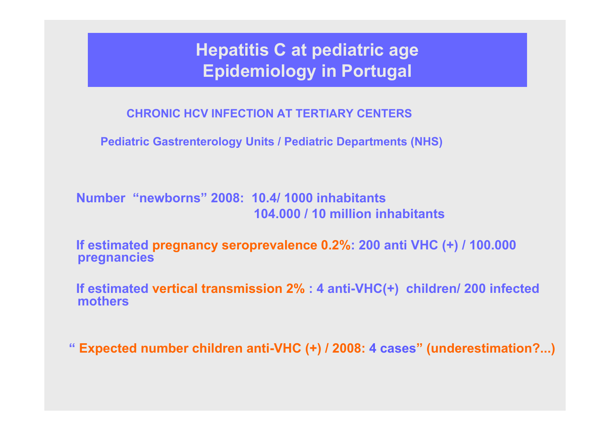**CHRONIC HCV INFECTION AT TERTIARY CENTERS**

**Pediatric Gastrenterology Units / Pediatric Departments (NHS)**

**Number "newborns" 2008: 10.4/ 1000 inhabitants 104.000 / 10 million inhabitants** 

**If estimated pregnancy seroprevalence 0.2%: 200 anti VHC (+) / 100.000 pregnancies**

**If estimated vertical transmission 2% : 4 anti-VHC(+) children/ 200 infected mothers**

**" Expected number children anti-VHC (+) / 2008: 4 cases" (underestimation?...)**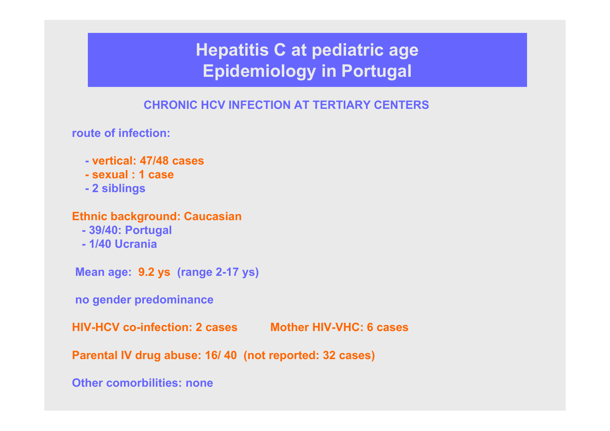#### **CHRONIC HCV INFECTION AT TERTIARY CENTERS**

**route of infection:**

- **- vertical: 47/48 cases**
- **- sexual : 1 case**
- **- 2 siblings**

#### **Ethnic background: Caucasian**

- **- 39/40: Portugal**
- **- 1/40 Ucrania**

**Mean age: 9.2 ys (range 2-17 ys)**

**no gender predominance**

**HIV-HCV co-infection: 2 cases Mother HIV-VHC: 6 cases** 

**Parental IV drug abuse: 16/ 40 (not reported: 32 cases)**

**Other comorbilities: none**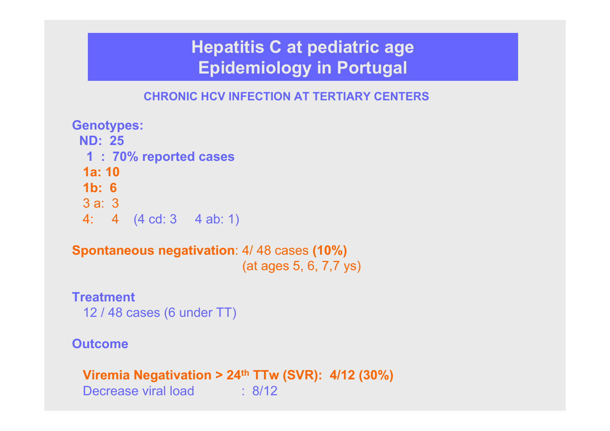#### **CHRONIC HCV INFECTION AT TERTIARY CENTERS**

**Genotypes: ND: 251 : 70% reported cases 1a: 101b: 6**3 a: 34: 4 (4 cd: 3 4 ab: 1)

**Spontaneous negativation**: 4/ 48 cases **(10%)** (at ages 5, 6, 7,7 ys)

**Treatment**12 / 48 cases (6 under TT)

#### **Outcome**

**Viremia Negativation > 24th TTw (SVR): 4/12 (30%)** Decrease viral load : 8/12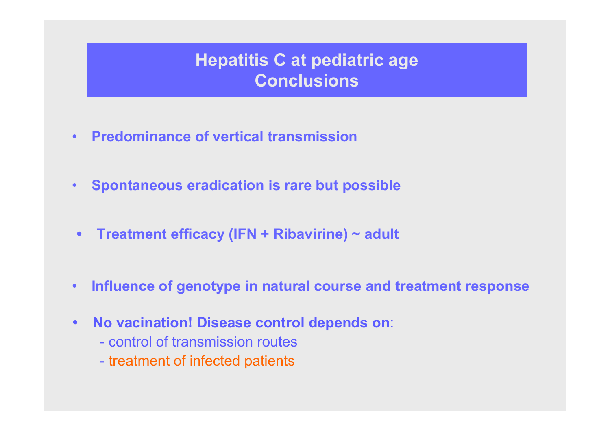# **Hepatitis C at pediatric age Conclusions**

- •**Predominance of vertical transmission**
- $\bullet$ **Spontaneous eradication is rare but possible**
- $\bullet$ **Treatment efficacy (IFN + Ribavirine) ~ adult**
- •**Influence of genotype in natural course and treatment response**
- $\bullet$  **No vacination! Disease control depends on**:
	- control of transmission routes
	- treatment of infected patients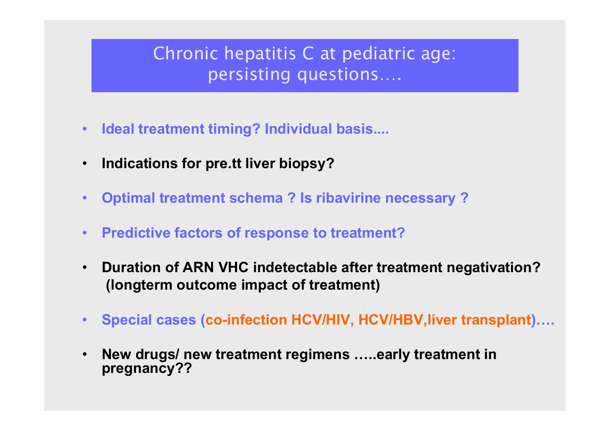# Chronic hepatitis C at pediatric age: persisting questions....

- •**Ideal treatment timing? Individual basis....**
- $\bullet$ **Indications for pre.tt liver biopsy?**
- $\bullet$ **Optimal treatment schema ? Is ribavirine necessary ?**
- •**Predictive factors of response to treatment?**
- • **Duration of ARN VHC indetectable after treatment negativation? (longterm outcome impact of treatment)**
- •**Special cases (co-infection HCV/HIV, HCV/HBV,liver transplant)….**
- • **New drugs/ new treatment regimens …..early treatment in pregnancy??**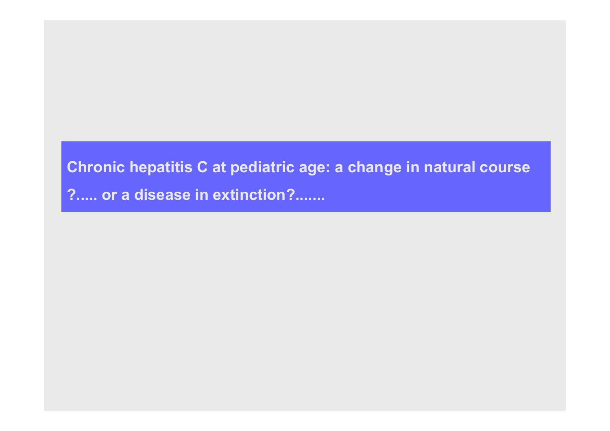# **Chronic hepatitis C at pediatric age: a change in natural course ?..... or a disease in extinction?.......**